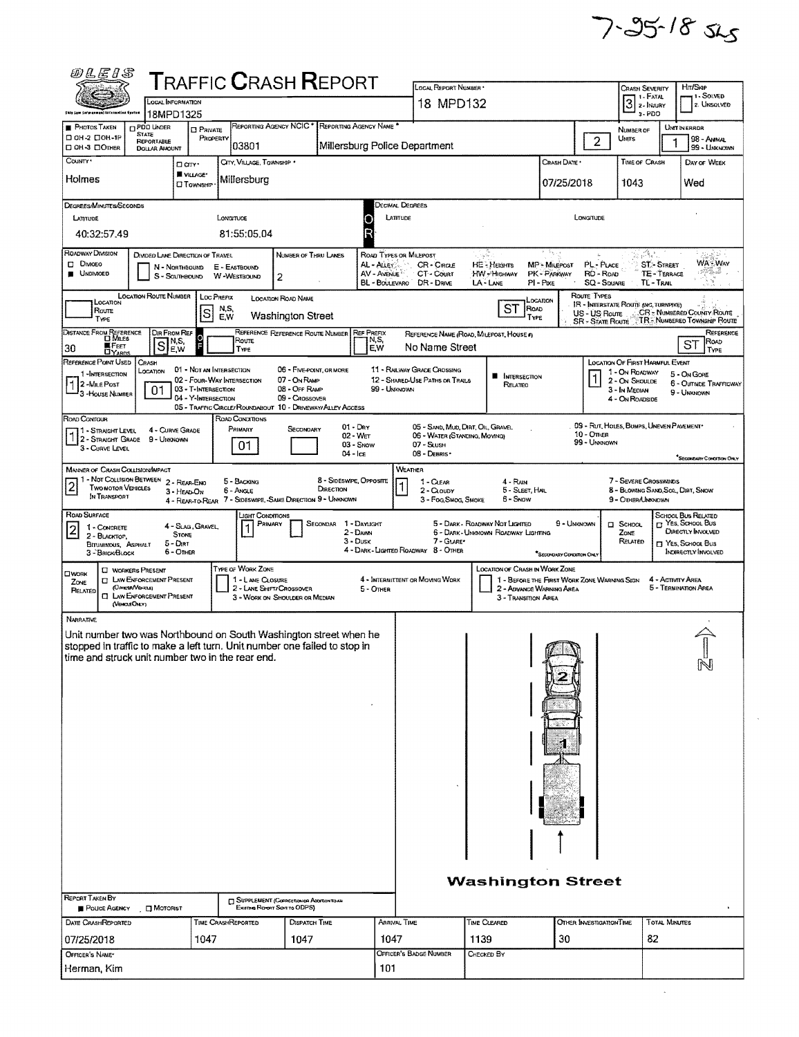$7 - 95 - 18$  sks

 $\hat{\mathcal{L}}$ 

| <i>00 L E 1 S</i>                                                                                                                                                                                                                                                                                                                                                                                                                                                                                                   |                                                                                                                                                                                                                                                                                                                                                                                                        |                                                                                                              | <b>TRAFFIC CRASH REPORT</b>                     |                                                             |                      |                         |                                                    |                                                                                                                                         |                                          |                          |                                                                                             |                             | <b>HIT/SKIP</b>                                                                                |
|---------------------------------------------------------------------------------------------------------------------------------------------------------------------------------------------------------------------------------------------------------------------------------------------------------------------------------------------------------------------------------------------------------------------------------------------------------------------------------------------------------------------|--------------------------------------------------------------------------------------------------------------------------------------------------------------------------------------------------------------------------------------------------------------------------------------------------------------------------------------------------------------------------------------------------------|--------------------------------------------------------------------------------------------------------------|-------------------------------------------------|-------------------------------------------------------------|----------------------|-------------------------|----------------------------------------------------|-----------------------------------------------------------------------------------------------------------------------------------------|------------------------------------------|--------------------------|---------------------------------------------------------------------------------------------|-----------------------------|------------------------------------------------------------------------------------------------|
|                                                                                                                                                                                                                                                                                                                                                                                                                                                                                                                     | <b>LOCAL INFORMATION</b>                                                                                                                                                                                                                                                                                                                                                                               |                                                                                                              |                                                 |                                                             |                      |                         | LOCAL REPORT NUMBER *<br>18 MPD132                 |                                                                                                                                         |                                          |                          | CRASH SEVERITY<br>11 - Solved<br>1 - FATAL<br>$3$ $\frac{1.444}{2.1}$<br><b>Z. UNSOLVED</b> |                             |                                                                                                |
| Okis Luw Sufyranwyn) löfermatisa tiyatam<br><b>PHOTOS TAKEN</b>                                                                                                                                                                                                                                                                                                                                                                                                                                                     | <b>DPDO UNDER</b>                                                                                                                                                                                                                                                                                                                                                                                      | 18MPD1325                                                                                                    |                                                 | REPORTING AGENCY NCIC * REPORTING AGENCY NAME               |                      |                         |                                                    |                                                                                                                                         |                                          | 3-PDO                    |                                                                                             |                             |                                                                                                |
| □ 0H-2 □ 0H-1P                                                                                                                                                                                                                                                                                                                                                                                                                                                                                                      | <b>STATE</b><br>REPORTABLE                                                                                                                                                                                                                                                                                                                                                                             | <b>PRIVATE</b><br>PROPERTY                                                                                   | 03801                                           |                                                             |                      |                         |                                                    |                                                                                                                                         |                                          | $\overline{2}$           | NUMBER OF<br>UMTS                                                                           |                             | UMI IN ERROR<br>98 - ANNAL                                                                     |
| D OH-3 DOTHER<br>County .                                                                                                                                                                                                                                                                                                                                                                                                                                                                                           | <b>DOLLAR AMOUNT</b>                                                                                                                                                                                                                                                                                                                                                                                   | Millersburg Police Department<br>CITY, VILLAGE, TOWNSHIP *<br>Crash Date *<br><b>TIME OF CRASH</b><br>□ cnv· |                                                 |                                                             |                      |                         |                                                    |                                                                                                                                         |                                          |                          |                                                                                             | 99 - UNKNOWN<br>DAY OF WEEK |                                                                                                |
| Holmes                                                                                                                                                                                                                                                                                                                                                                                                                                                                                                              |                                                                                                                                                                                                                                                                                                                                                                                                        | VILLAGE*                                                                                                     | Millersburg                                     |                                                             |                      |                         |                                                    |                                                                                                                                         |                                          |                          |                                                                                             |                             |                                                                                                |
|                                                                                                                                                                                                                                                                                                                                                                                                                                                                                                                     |                                                                                                                                                                                                                                                                                                                                                                                                        | <b>CI TOWNSHIP</b>                                                                                           |                                                 |                                                             |                      |                         |                                                    |                                                                                                                                         | 07/25/2018                               |                          | 1043                                                                                        |                             | Wed                                                                                            |
| DEGREES/MINUTES/SECONDS<br>DECIMAL DEGREES<br>LATITUDE<br>LONGTUDE<br>LONGITUDE<br><b>LATITUDE</b>                                                                                                                                                                                                                                                                                                                                                                                                                  |                                                                                                                                                                                                                                                                                                                                                                                                        |                                                                                                              |                                                 |                                                             |                      |                         |                                                    |                                                                                                                                         |                                          |                          |                                                                                             |                             |                                                                                                |
| 81:55:05.04<br>40:32:57.49                                                                                                                                                                                                                                                                                                                                                                                                                                                                                          |                                                                                                                                                                                                                                                                                                                                                                                                        |                                                                                                              |                                                 |                                                             |                      |                         |                                                    |                                                                                                                                         |                                          |                          |                                                                                             |                             |                                                                                                |
| ROADWAY DIVISION                                                                                                                                                                                                                                                                                                                                                                                                                                                                                                    |                                                                                                                                                                                                                                                                                                                                                                                                        |                                                                                                              |                                                 |                                                             |                      |                         |                                                    | .ê                                                                                                                                      | وريائي ف                                 |                          | 동결론                                                                                         |                             |                                                                                                |
| DIVIDED LANE DIRECTION OF TRAVEL<br>Number of Thru Lames<br>ROAD TYPES OR MILEPOST<br><b>DI DIVIOEO</b><br>PL - PLACE<br><b>ST-STREET</b><br>AL - ALLEY<br>CR-CIRCLE<br><b>HE-HEIGHTS</b><br>MP - Micepost<br>E - EASTBOUND<br>N - Northegund<br>A Sarajento<br><b>UNDIVIOED</b><br>RD - Roap<br><b>TE-TERRACE</b><br>AV - AVENUE<br>CT-Count<br>HW - Higrway<br>PK - PARKWAY<br>S - SOUTHBOUND<br>W-WESTBOUND<br>2<br><b>BL</b> - BOULEVARO<br>DR-Dane<br><b>SQ - SOUARE</b><br>TL-TRAL<br>LA-LANE<br>$PI - P$ rke |                                                                                                                                                                                                                                                                                                                                                                                                        |                                                                                                              |                                                 |                                                             |                      |                         |                                                    |                                                                                                                                         |                                          |                          |                                                                                             | WA Way                      |                                                                                                |
| <b>LOCATION ROUTE NUMBER</b><br>Route Types<br>LOC PREFIX<br>LOCATION ROAD NAME<br>LOCATION<br>LOCATION<br><b>IR - INTERSTATE ROUTE (INC. TURNFIKE)</b>                                                                                                                                                                                                                                                                                                                                                             |                                                                                                                                                                                                                                                                                                                                                                                                        |                                                                                                              |                                                 |                                                             |                      |                         |                                                    |                                                                                                                                         |                                          |                          |                                                                                             |                             |                                                                                                |
| TYPE                                                                                                                                                                                                                                                                                                                                                                                                                                                                                                                | <b>ST</b><br>ROAD<br>N,S,<br>ROUTE<br>S<br>CR - NUMBERED COUNTY ROUTE<br>US - US Roure<br>Washington Street<br>E,W<br><b>TYPE</b><br>TR - NUMBERED TOWNSHIP ROUTE<br><b>SR - STATE ROUTE</b>                                                                                                                                                                                                           |                                                                                                              |                                                 |                                                             |                      |                         |                                                    |                                                                                                                                         |                                          |                          |                                                                                             |                             |                                                                                                |
| DISTANCE FROM REFERENCE<br>DIR FROM REF<br>REFERENCE REFERENCE ROUTE NUMBER REF PREFIX<br>REFERENCE<br>REFERENCE NAME (ROAD, MILEPOST, HOUSE #)<br>$\Omega$<br>N,S,<br>Route<br>Road<br>N,S,<br>S<br>ST<br><b>A</b> FEET<br>No Name Street<br>E,W<br>30<br>E,W<br>TYPE<br>TYPE<br><b>LIYAROS</b>                                                                                                                                                                                                                    |                                                                                                                                                                                                                                                                                                                                                                                                        |                                                                                                              |                                                 |                                                             |                      |                         |                                                    |                                                                                                                                         |                                          |                          |                                                                                             |                             |                                                                                                |
| REFERENCE POINT USED                                                                                                                                                                                                                                                                                                                                                                                                                                                                                                | CRASH<br>LOCATION                                                                                                                                                                                                                                                                                                                                                                                      | 01 - Not an Intersection                                                                                     |                                                 | 06 - Five-point, OR MORE                                    |                      |                         | 11 - RAILWAY GRADE CROSSING                        |                                                                                                                                         |                                          |                          | <b>LOCATION OF FIRST HARMFUL EVENT</b>                                                      |                             |                                                                                                |
| 1 - On ROADWAY<br>1-INTERSECTION<br>5 - On Gore<br>INTERSECTION<br>02 - FOUR-WAY INTERSECTION<br>07 - On RAMP<br><b>12 - SHARED USE PATHS OR TRAILS</b><br>2 - ON SHOULDE<br>2-Mile Post<br>Relateo<br>03 - T-INTERSECTION<br>08 - Off RAMP<br>99 - UNKNOWN<br>01<br>3 - In Median<br>9 - UMKNOWN<br>-House Number<br>04 - Y-INTERSECTION<br>09 - Crossover<br>4 - ON ROADSIDE<br>05 - TRAFFIC CIRCLE/ROUNDABOUT 10 - DRIVEWAY/ALLEY ACCESS                                                                         |                                                                                                                                                                                                                                                                                                                                                                                                        |                                                                                                              |                                                 |                                                             |                      |                         |                                                    |                                                                                                                                         |                                          |                          | 6 - OUTSIDE TRAFFICWAY                                                                      |                             |                                                                                                |
| Rond Conroun                                                                                                                                                                                                                                                                                                                                                                                                                                                                                                        |                                                                                                                                                                                                                                                                                                                                                                                                        |                                                                                                              | ROAD CONDITIONS                                 |                                                             |                      |                         |                                                    |                                                                                                                                         |                                          |                          |                                                                                             |                             |                                                                                                |
|                                                                                                                                                                                                                                                                                                                                                                                                                                                                                                                     | 09 - RUT, HOLES, BUMPS, UNEVEN PAVEMENT*<br>05 - SAND, MUD, DIRT, OIL, GRAVEL<br>$01 - \text{Dry}$<br>PRIMARY<br>SECONDARY<br>4 - CURVE GRADE<br> 1 - Straight Level<br>1 - STRAIGHT LEVEL<br>10 - OTHER<br>$02 - Wer$<br>06 - WATER (STANDING, MOVING)<br>9 - Unknown<br>99 - Unknown<br>01<br>07 - SLUSH<br>03 - Snow<br>3 - CURVE LEVEL<br>$04 - \log$<br>08 - Dennis -<br>SECONDARY CONDITION ONLY |                                                                                                              |                                                 |                                                             |                      |                         |                                                    |                                                                                                                                         |                                          |                          |                                                                                             |                             |                                                                                                |
| <b>MANNER OF CRASH COLLISION/MPACT</b><br>WEATHER                                                                                                                                                                                                                                                                                                                                                                                                                                                                   |                                                                                                                                                                                                                                                                                                                                                                                                        |                                                                                                              |                                                 |                                                             |                      |                         |                                                    |                                                                                                                                         |                                          |                          |                                                                                             |                             |                                                                                                |
|                                                                                                                                                                                                                                                                                                                                                                                                                                                                                                                     | 1 - Not Collision Between 2 - Rear-Eno<br>8 - SIDESWIPE, OPPOSITE<br>7 - SEVERE CROSSWINDS<br>5 - BACKING<br>1 - CLEAR<br>4 - RAIN<br>$\overline{2}$<br><b>Two MOTOR VEHICLES</b><br>DIRECTION<br>6 - Angle<br>2 - CLOUDY<br>5 - Sleet Hal<br>8 - Blowing Sand, Sol., Dirt, Snow<br>3 - HEAD-ON<br>IN TRANSPORT                                                                                        |                                                                                                              |                                                 |                                                             |                      |                         |                                                    |                                                                                                                                         |                                          |                          |                                                                                             |                             |                                                                                                |
| 7 - Sideswipe, Same Direction 9 - Unknown<br>6 - Snow<br>3 - Fog, Smog, Smoke<br>9 - OTHER LINKNOWN<br>4 - Rear-to-Rear<br>ROAD SURFACE<br>SCHOOL BUS RELATED<br>JGHT CONDITIONS                                                                                                                                                                                                                                                                                                                                    |                                                                                                                                                                                                                                                                                                                                                                                                        |                                                                                                              |                                                 |                                                             |                      |                         |                                                    |                                                                                                                                         |                                          |                          |                                                                                             |                             |                                                                                                |
| 1 - CONCRETE<br>$\overline{2}$<br>2 - BLACKTOP<br><b>BITUMINOUS, ASPHALT</b><br>3 - BRICK/BLOCK                                                                                                                                                                                                                                                                                                                                                                                                                     |                                                                                                                                                                                                                                                                                                                                                                                                        | 4 - SLAG, GRAVEL<br><b>STONE</b><br>5 - Dirt<br>6 - OTHER                                                    | PRIMARY                                         |                                                             | SECONDAR<br>3 - Dusk | 1 - Dayught<br>2 - DAWN | 7 - GLARE*<br>4 - DARK - LIGHTED ROADWAY 8 - OTHER | 5 - DARK - ROADWAY NOT LIGHTED<br>6 - DARK - UNKNOWN ROADWAY LIGHTING                                                                   | 9 - Unknown<br>"SECONDARY CONDITION ONLY |                          | <b>Д</b> SCHOOL<br>ZONE<br>RELATED                                                          |                             | <sup>1</sup> Yes, School, Bus<br>DIRECTLY INVOLVED<br>T YES, SCHOOL BUS<br>INDIRECTLY INVOLVED |
| OWORK<br>ZONE<br>RELATED<br>α                                                                                                                                                                                                                                                                                                                                                                                                                                                                                       | <b>CI WORKERS PRESENT</b><br><b>C LAW ENFORCEMENT PRESENT</b><br>(OFFICER/VENICLE)<br>LAW ENFORCEMENT PRESENT<br>(VERCLEONLY)                                                                                                                                                                                                                                                                          |                                                                                                              | TYPE OF WORK ZONE<br>1 - LANE CLOSURE           | 2 - LANE SHIFT/ CROSSOVER<br>3 - WORK ON SHOULDER OR MEDIAN |                      | 5 - OTHER               | 4 - INTERNITTENT OR MOVING WORK                    | <b>LOCATION OF CRASH IN WORK ZONE</b><br>1 - BEFORE THE FIRST WORK ZONE WARNING SIGN<br>2 - ADVANCE WARNING AREA<br>3 - Transition Area |                                          |                          |                                                                                             | 4 - Activity Area           | 5 - TERMINATION AREA                                                                           |
| <b>NARRATIVE</b>                                                                                                                                                                                                                                                                                                                                                                                                                                                                                                    |                                                                                                                                                                                                                                                                                                                                                                                                        |                                                                                                              |                                                 |                                                             |                      |                         |                                                    |                                                                                                                                         |                                          |                          |                                                                                             |                             |                                                                                                |
| Unit number two was Northbound on South Washington street when he<br>stopped in traffic to make a left turn. Unit number one failed to stop in<br>time and struck unit number two in the rear end.                                                                                                                                                                                                                                                                                                                  |                                                                                                                                                                                                                                                                                                                                                                                                        |                                                                                                              |                                                 |                                                             |                      |                         |                                                    |                                                                                                                                         |                                          |                          |                                                                                             |                             | Ñ                                                                                              |
|                                                                                                                                                                                                                                                                                                                                                                                                                                                                                                                     |                                                                                                                                                                                                                                                                                                                                                                                                        |                                                                                                              |                                                 |                                                             |                      |                         |                                                    |                                                                                                                                         |                                          |                          |                                                                                             |                             |                                                                                                |
|                                                                                                                                                                                                                                                                                                                                                                                                                                                                                                                     |                                                                                                                                                                                                                                                                                                                                                                                                        |                                                                                                              |                                                 |                                                             |                      |                         |                                                    |                                                                                                                                         |                                          |                          |                                                                                             |                             |                                                                                                |
|                                                                                                                                                                                                                                                                                                                                                                                                                                                                                                                     |                                                                                                                                                                                                                                                                                                                                                                                                        |                                                                                                              |                                                 |                                                             |                      |                         |                                                    |                                                                                                                                         |                                          |                          |                                                                                             |                             |                                                                                                |
|                                                                                                                                                                                                                                                                                                                                                                                                                                                                                                                     |                                                                                                                                                                                                                                                                                                                                                                                                        |                                                                                                              |                                                 |                                                             |                      |                         |                                                    |                                                                                                                                         |                                          |                          |                                                                                             |                             |                                                                                                |
| <b>REPORT TAKEN BY</b>                                                                                                                                                                                                                                                                                                                                                                                                                                                                                              |                                                                                                                                                                                                                                                                                                                                                                                                        |                                                                                                              |                                                 |                                                             |                      |                         |                                                    | <b>Washington Street</b>                                                                                                                |                                          |                          |                                                                                             |                             |                                                                                                |
| POLICE AGENCY                                                                                                                                                                                                                                                                                                                                                                                                                                                                                                       | <b>D</b> MOTORIST                                                                                                                                                                                                                                                                                                                                                                                      |                                                                                                              | <b>SUPPLEMENT (CORRECTION OR ADDITION TO AN</b> | Existing Report Sent to ODPS)                               |                      |                         |                                                    |                                                                                                                                         |                                          |                          |                                                                                             |                             |                                                                                                |
| DATE CRASHREPORTED<br>07/25/2018                                                                                                                                                                                                                                                                                                                                                                                                                                                                                    |                                                                                                                                                                                                                                                                                                                                                                                                        | 1047                                                                                                         | TIME CRASHREPORTED                              | <b>DISPATCH TIME</b><br>1047                                |                      | 1047                    | ARRIVAL TIME                                       | TIME CLEARED<br>1139                                                                                                                    | 30                                       | OTHER INVESTIGATION TIME |                                                                                             | TOTAL MINUTES<br>82         |                                                                                                |
| OFFICER'S NAME*                                                                                                                                                                                                                                                                                                                                                                                                                                                                                                     |                                                                                                                                                                                                                                                                                                                                                                                                        |                                                                                                              |                                                 |                                                             |                      |                         | OFFICER'S BADGE NUMBER                             | CHECKED BY                                                                                                                              |                                          |                          |                                                                                             |                             |                                                                                                |
| Herman, Kim<br>101                                                                                                                                                                                                                                                                                                                                                                                                                                                                                                  |                                                                                                                                                                                                                                                                                                                                                                                                        |                                                                                                              |                                                 |                                                             |                      |                         |                                                    |                                                                                                                                         |                                          |                          |                                                                                             |                             |                                                                                                |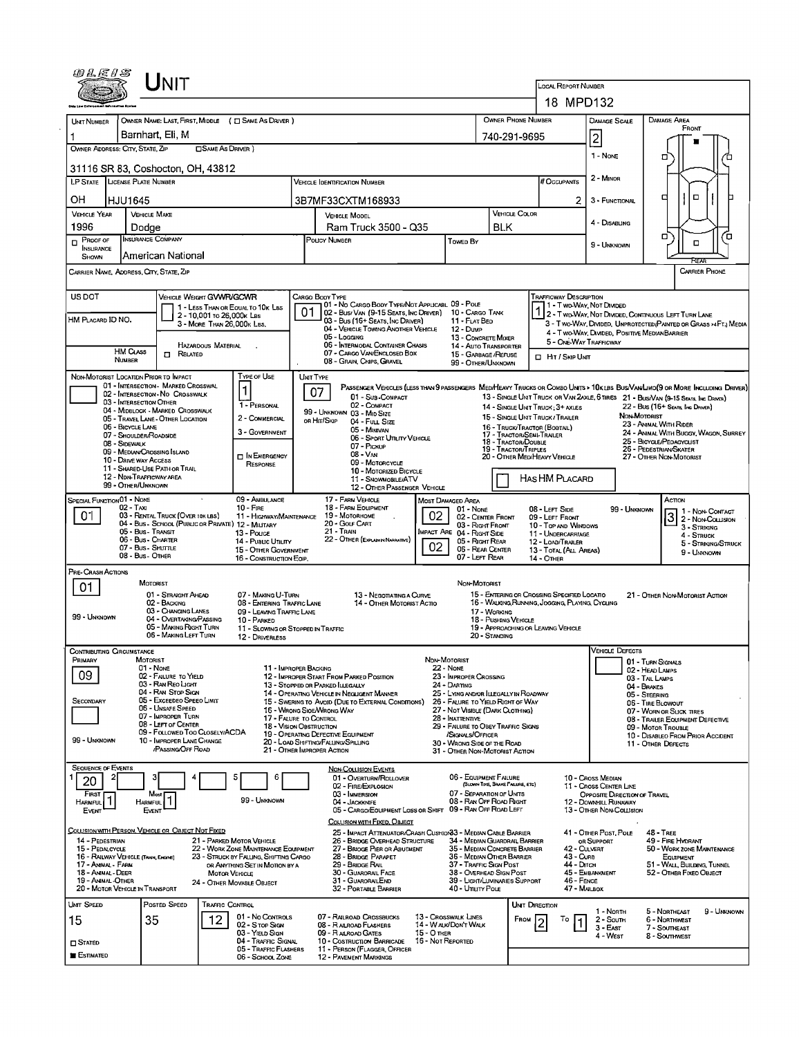| <i>01515</i>                                                                                                |                                              | Jnit                                                                  |                                                         |                                                                          |                                                                  |                                                                                                                      |                                                 |                                                                            |                                                                                                        |                                  |                                                                      |                                                       |                                                                                                                             |  |  |  |  |
|-------------------------------------------------------------------------------------------------------------|----------------------------------------------|-----------------------------------------------------------------------|---------------------------------------------------------|--------------------------------------------------------------------------|------------------------------------------------------------------|----------------------------------------------------------------------------------------------------------------------|-------------------------------------------------|----------------------------------------------------------------------------|--------------------------------------------------------------------------------------------------------|----------------------------------|----------------------------------------------------------------------|-------------------------------------------------------|-----------------------------------------------------------------------------------------------------------------------------|--|--|--|--|
|                                                                                                             |                                              |                                                                       |                                                         |                                                                          |                                                                  |                                                                                                                      |                                                 |                                                                            |                                                                                                        |                                  | <b>LOCAL REPORT NUMBER</b><br>18 MPD132                              |                                                       |                                                                                                                             |  |  |  |  |
|                                                                                                             |                                              |                                                                       |                                                         |                                                                          |                                                                  |                                                                                                                      |                                                 |                                                                            |                                                                                                        |                                  |                                                                      |                                                       |                                                                                                                             |  |  |  |  |
| <b>UNT NUMBER</b>                                                                                           |                                              |                                                                       |                                                         | OWNER NAME: LAST, FIRST, MIDDLE ( C SAME AS DRIVER )                     |                                                                  |                                                                                                                      |                                                 |                                                                            |                                                                                                        | <b>OWNER PHONE NUMBER</b>        |                                                                      | <b>DAMAGE SCALE</b>                                   | <b>DAMAGE AREA</b><br>FRONT                                                                                                 |  |  |  |  |
| OWNER ADDRESS: CITY, STATE, ZIP                                                                             | Barnhart, Eli, M                             |                                                                       | <b>CISAME AS DRIVER</b> )                               |                                                                          |                                                                  | 740-291-9695                                                                                                         |                                                 | $\overline{c}$                                                             |                                                                                                        |                                  |                                                                      |                                                       |                                                                                                                             |  |  |  |  |
|                                                                                                             |                                              |                                                                       |                                                         |                                                                          |                                                                  |                                                                                                                      |                                                 |                                                                            |                                                                                                        |                                  |                                                                      | 1 - None                                              | ם                                                                                                                           |  |  |  |  |
| 31116 SR 83, Coshocton, OH, 43812<br>LP STATE LICENSE PLATE NUMBER<br><b>VEHICLE IDENTIFICATION NUMBER</b>  |                                              |                                                                       |                                                         |                                                                          |                                                                  |                                                                                                                      |                                                 |                                                                            |                                                                                                        |                                  |                                                                      | 2 - MINOR                                             |                                                                                                                             |  |  |  |  |
|                                                                                                             |                                              |                                                                       |                                                         |                                                                          |                                                                  |                                                                                                                      |                                                 |                                                                            |                                                                                                        |                                  | # Occupants                                                          |                                                       |                                                                                                                             |  |  |  |  |
| OН                                                                                                          | <b>HJU1645</b>                               |                                                                       |                                                         |                                                                          |                                                                  | 3B7MF33CXTM168933                                                                                                    |                                                 |                                                                            |                                                                                                        |                                  | $\mathbf{2}$                                                         | 3 - FUNCTIONAL                                        | □<br>▫                                                                                                                      |  |  |  |  |
| <b>VEHICLE YEAR</b><br>1996                                                                                 | <b>VEHICLE MAKE</b><br>Dodae                 |                                                                       |                                                         |                                                                          |                                                                  | <b>VEHICLE MODEL</b><br>Ram Truck 3500 - Q35                                                                         |                                                 |                                                                            | <b>BLK</b>                                                                                             | <b>VEHICLE COLOR</b>             |                                                                      | 4 - DISABLING                                         |                                                                                                                             |  |  |  |  |
| $P$ PROOF OF                                                                                                | INSURANCE COMPANY                            |                                                                       |                                                         |                                                                          |                                                                  | POLICY NUMBER                                                                                                        |                                                 | Towep By                                                                   |                                                                                                        |                                  |                                                                      |                                                       | о<br>Έ<br>п                                                                                                                 |  |  |  |  |
| <b>INSURANCE</b><br>SHOWN                                                                                   |                                              | American National                                                     |                                                         |                                                                          |                                                                  |                                                                                                                      |                                                 |                                                                            |                                                                                                        |                                  |                                                                      | 9 - UNKNOWN                                           |                                                                                                                             |  |  |  |  |
| CARRIER NAME, ADDRESS, CITY, STATE, ZIP                                                                     |                                              |                                                                       |                                                         |                                                                          |                                                                  |                                                                                                                      |                                                 |                                                                            |                                                                                                        |                                  |                                                                      |                                                       | REAR<br><b>CARRIER PHONE</b>                                                                                                |  |  |  |  |
|                                                                                                             |                                              |                                                                       |                                                         |                                                                          |                                                                  |                                                                                                                      |                                                 |                                                                            |                                                                                                        |                                  |                                                                      |                                                       |                                                                                                                             |  |  |  |  |
| US DOT                                                                                                      |                                              | VEHICLE WEIGHT GVWR/GCWR                                              |                                                         | 1 - LESS THAN OR EQUAL TO 10K LBS                                        |                                                                  | CARGO BODY TYPE<br>01 - No CARGO BODY TYPE/NOT APPLICABL 09 - POLE                                                   |                                                 |                                                                            |                                                                                                        |                                  | <b>TRAFFICWAY DESCRIPTION</b><br>1 - Two-Way, Not Divided            |                                                       |                                                                                                                             |  |  |  |  |
| HM PLACARD ID NO.                                                                                           |                                              |                                                                       | 2 - 10,001 To 26,000K LBS<br>3 - MORE THAN 26,000K LBS. |                                                                          |                                                                  | 02 - Bus/Van (9-15 Seats, Inc Driver) 10 - Cargo Tank<br>03 - Bus (16+ SEATS, INC DRIVER)                            |                                                 | 11 - FLAT BED                                                              |                                                                                                        |                                  |                                                                      |                                                       | 2 - T WO-WAY, NOT DIVIDED, CONTINUOUS LEFT TURN LANE<br>3 - T WO-WAY, DIMBED, UNPROTECTED (PAINTED OR GRASS >4FT.) MEDIA    |  |  |  |  |
|                                                                                                             |                                              |                                                                       |                                                         |                                                                          |                                                                  | 04 - VEHICLE TOWING ANOTHER VEHICLE<br>05 - Logging                                                                  |                                                 | <b>12 - Dump</b><br>13 - CONCRETE MIXER                                    |                                                                                                        |                                  |                                                                      | 4 - T WO-WAY, DIVIDED, POSITIVE MEDIAN BARRIER        |                                                                                                                             |  |  |  |  |
|                                                                                                             | <b>HM CLASS</b>                              | <b>n</b> Related                                                      | HAZARDOUS MATERIAL                                      |                                                                          |                                                                  | 06 - INTERMODAL CONTAINER CHASIS<br>07 - CARGO VAN/ENCLOSED BOX                                                      |                                                 | <b>14 - AUTO TRANSPORTER</b><br>15 - GARBAGE / REFUSE                      |                                                                                                        |                                  | 5 - ONE-WAY TRAFFICWAY                                               |                                                       |                                                                                                                             |  |  |  |  |
|                                                                                                             | <b>NUMBER</b>                                |                                                                       |                                                         |                                                                          |                                                                  | 08 - GRAIN, CHIPS, GRAVEL                                                                                            |                                                 | 99 - OTHER/UNKNOWN                                                         |                                                                                                        |                                  | <b>ID</b> HIT / SKIP UNIT                                            |                                                       |                                                                                                                             |  |  |  |  |
| NON-MOTORIST LOCATION PRIOR TO IMPACT                                                                       |                                              | 01 - INTERSECTION - MARKED CROSSWAL                                   |                                                         | <b>TYPE OF USE</b>                                                       | <b>UNIT TYPE</b>                                                 |                                                                                                                      |                                                 |                                                                            |                                                                                                        |                                  |                                                                      |                                                       | PASSENGER VEHICLES (LESS THAN 9 PASSENGERS MED/HEAVY TRUCKS OR COMBO UNITS > 10KLBS BUS/VAWLIMO(9 OR MORE INCLUDING DRIVER) |  |  |  |  |
|                                                                                                             | 03 - INTERSECTION OTHER                      | 02 - INTERSECTION - NO CROSSWALK                                      |                                                         | 1                                                                        | 07                                                               | 01 - Sub-COMPACT                                                                                                     |                                                 |                                                                            |                                                                                                        |                                  |                                                                      |                                                       | 13 - SINGLE UNIT TRUCK OR VAN 2AXLE, 6 TIRES 21 - BUS/VAN (9-15 SEATS, INC DRIVER)                                          |  |  |  |  |
|                                                                                                             |                                              | 04 - MIDBLOCK - MARKED CROSSWALK<br>05 - TRAVEL LANE - OTHER LOCATION |                                                         | 1 - PERSONAL<br>2 - COMMERCIAL                                           |                                                                  | 02 - COMPACT<br>99 - UNKNOWN 03 - MID SIZE                                                                           |                                                 |                                                                            |                                                                                                        |                                  | 14 - SINGLE UNIT TRUCK: 3+ AXLES<br>15 - SINGLE UNIT TRUCK / TRAILER |                                                       | 22 - Bus (16+ Seats, Inc Driver)<br>NON-MOTORIST                                                                            |  |  |  |  |
|                                                                                                             | 06 - BICYCLE LANE<br>07 - SHOULDER/ROADSIDE  |                                                                       |                                                         | 3 - GOVERNMENT                                                           |                                                                  | OR HIT/SKIP<br>04 - FutL Size<br>05 - MINIVAN                                                                        |                                                 |                                                                            |                                                                                                        |                                  | 16 - Truck/Tractor (BOBTAIL)                                         |                                                       | 23 - ANIMAL WITH RIDER<br>24 - ANIMAL WITH BUGGY, WAGON, SURREY                                                             |  |  |  |  |
|                                                                                                             | 08 - SIDEWALK<br>09 - MEDIAN/CROSSING ISLAND |                                                                       |                                                         |                                                                          |                                                                  | 06 - Sport UTILITY VEHICLE<br>07 - Pickup                                                                            |                                                 | <b>19 - TRACTOR/TRIPLES</b>                                                | 17 - TRACTOR/SEMI-TRAILER<br>18 - TRACTOR/DOUBLE<br>25 - BICYCLE/PEDACYCLIST<br>26 - PEDESTRIAN SKATER |                                  |                                                                      |                                                       |                                                                                                                             |  |  |  |  |
|                                                                                                             | 10 - DRIVE WAY ACCESS                        |                                                                       |                                                         | <b>IT IN EMERGENCY</b><br>RESPONSE                                       | $08 - V_{AN}$<br>20 - OTHER MED/HEAVY VEHICLE<br>09 - Motorcycle |                                                                                                                      |                                                 |                                                                            |                                                                                                        |                                  | 27 - OTHER NON-MOTORIST                                              |                                                       |                                                                                                                             |  |  |  |  |
|                                                                                                             | 12 - NDN-TRAFFICWAY AREA                     | 11 - SHARED-USE PATH OR TRAIL                                         |                                                         |                                                                          |                                                                  | 10 - MOTORIZED BICYCLE<br>11 - SNOWMOBILE/ATV                                                                        |                                                 | HAS HM PLACARD                                                             |                                                                                                        |                                  |                                                                      |                                                       |                                                                                                                             |  |  |  |  |
|                                                                                                             | 99 - OTHER/UNKNOWN                           |                                                                       |                                                         | 09 - ANBULANCE                                                           |                                                                  | 12 - OTHER PASSENGER VEHICLE<br>17 - FARM VEHICLE                                                                    |                                                 | MOST DAMAGED AREA                                                          |                                                                                                        |                                  |                                                                      |                                                       | Астом                                                                                                                       |  |  |  |  |
| SPECIAL FUNCTION 01 - NONE<br>$02 - T_Ax$<br>$10 -$ Fire<br>03 - RENTAL TRUCK (OVER 10K LBS)                |                                              |                                                                       |                                                         |                                                                          |                                                                  | 18 - FARM EQUIPMENT<br>19 - Мотовноме                                                                                | 02.                                             | 01 - None                                                                  |                                                                                                        |                                  | 08 - LEFT SIDE                                                       | 99 - UNKNOWN<br>1 NON-CONTACT                         |                                                                                                                             |  |  |  |  |
| 01<br>11 - HIGHWAY/MAINTENANCE<br>04 - Bus - SCHOOL (PUBLIC OR PRIVATE) 12 - MILITARY<br>05 - Bus - Transit |                                              |                                                                       |                                                         |                                                                          |                                                                  | 20 - GOLF CART<br>21 - TRAIN                                                                                         |                                                 | 02 - CENTER FRONT<br>03 - RIGHT FRONT<br><b>IMPACT ARE 04 - RIGHT SIDE</b> |                                                                                                        |                                  | 09 - LEFT FRONT<br>10 - TOP AND WINDOWS<br>11 - UNDERCARRIAGE        |                                                       | 3 2 - Non-Coursion<br>3 - STRIKING                                                                                          |  |  |  |  |
|                                                                                                             | 06 - Bus - Charter<br>07 - Bus - Shuttle     |                                                                       |                                                         | 13 - Pouce<br>14 - Puauc Ununy                                           |                                                                  | 22 - OTHER (EXPLAININ NARATIVE)<br>05 - Right Rear<br>02<br>06 - REAR CENTER                                         |                                                 |                                                                            |                                                                                                        |                                  |                                                                      |                                                       | 4 - Struck<br>5 - STRIKING/STRUCK                                                                                           |  |  |  |  |
|                                                                                                             | 08 - Bus - OTHER                             |                                                                       |                                                         | 15 - OTHER GOVERNMENT<br>16 - CONSTRUCTION EQP.                          |                                                                  |                                                                                                                      |                                                 | 07 - LEFT REAR                                                             |                                                                                                        |                                  | 13 - TOTAL (ALL AREAS)<br>14 - Отнев                                 |                                                       | 9 - Unrnown                                                                                                                 |  |  |  |  |
| PRE-CRASH ACTIONS                                                                                           |                                              |                                                                       |                                                         |                                                                          |                                                                  |                                                                                                                      |                                                 |                                                                            |                                                                                                        |                                  |                                                                      |                                                       |                                                                                                                             |  |  |  |  |
| 01                                                                                                          | MOTORIST                                     | 01 - STRAIGHT AHEAD                                                   |                                                         | 07 - MAKING U-TURN                                                       |                                                                  | 13 - NEGOTIATING A CURVE                                                                                             |                                                 | NON-MOTORIST                                                               |                                                                                                        |                                  | 15 - ENTERING OR CROSSING SPECIFIED LOCATIO                          |                                                       | 21 - OTHER NON MOTORIST ACTION                                                                                              |  |  |  |  |
|                                                                                                             |                                              | 02 - BACKING<br>03 - CHANGING LANES                                   |                                                         | 08 - ENTERING TRAFFIC LANE<br>09 - LEAVING TRAFFIC LANE                  | 14 - OTHER MOTORIST ACTIO<br>17 - WORKING                        |                                                                                                                      |                                                 |                                                                            |                                                                                                        |                                  | 16 - WALKING, RUNNING, JOGGING, PLAYING, CYCLING                     |                                                       |                                                                                                                             |  |  |  |  |
| 99 - UNKNOWN                                                                                                |                                              | 04 - OVERTAKING/PASSING<br>05 - MAKING RIGHT TURN                     |                                                         | 10 - PARKED<br>11 - SLOWING OR STOPPED IN TRAFFIC                        |                                                                  |                                                                                                                      |                                                 |                                                                            | 18 - Pushing Vehicle                                                                                   |                                  | 19 - APPROACHING OR LEAVING VEHICLE                                  |                                                       |                                                                                                                             |  |  |  |  |
|                                                                                                             |                                              | 06 - MAKING LEFT TURN                                                 |                                                         | 12 - DRIVERLESS                                                          |                                                                  |                                                                                                                      |                                                 |                                                                            | 20 - STANDING                                                                                          |                                  |                                                                      |                                                       |                                                                                                                             |  |  |  |  |
| CONTRIBUTING CIRCUMSTANCE<br>Primary                                                                        | Motorist                                     |                                                                       |                                                         |                                                                          |                                                                  |                                                                                                                      | NON-MOTORIST                                    |                                                                            |                                                                                                        |                                  |                                                                      | <b>VEHICLE DEFECTS</b>                                | 01 - Turn Signals                                                                                                           |  |  |  |  |
| 09                                                                                                          | $01 - None$                                  | 02 - FALURE TO YIELD                                                  |                                                         |                                                                          | 11 - IMPROPER BACKING                                            | 12 - IMPROPER START FROM PARKED POSITION                                                                             | <b>22 - Nove</b>                                | 23 - IMPROPER CROSSING                                                     |                                                                                                        |                                  |                                                                      |                                                       | 02 - HEAD LAMPS<br>03 - TAL LAMPS                                                                                           |  |  |  |  |
|                                                                                                             |                                              | 03 - RAN REO LIGHT<br>04 - RAN STOP SIGN                              |                                                         |                                                                          |                                                                  | 13 - Stopped or Parked Llegally<br>14 - OPERATING VEHICLE IN NEGLIGENT MANNER                                        |                                                 | 24 - DARTING<br>25 - LYING AND/OR ILLEGALLY IN ROADWAY                     |                                                                                                        |                                  |                                                                      |                                                       | 04 - Brakes<br>05 - STEERING                                                                                                |  |  |  |  |
| SECONDARY                                                                                                   |                                              | 05 - Exceedeo Speeo LIMIT<br>06 - UNSAFE SPEED                        |                                                         |                                                                          |                                                                  | 15 - SWERING TO AVOID (DUE TO EXTERNAL CONDITIONS)<br>16 - WRONG SIOE/WRONG WAY                                      |                                                 | 26 - FALURE TO YIELD RIGHT OF WAY                                          |                                                                                                        |                                  |                                                                      |                                                       | 06 - TIRE BLOWOUT                                                                                                           |  |  |  |  |
|                                                                                                             |                                              | 07 - IMPROPER TURN<br>08 - LEFT OF CENTER                             |                                                         |                                                                          | 17 - FALURE TO CONTROL                                           | 27 - NOT VISIBLE (DARK CLOTHING)<br>28 - INATTENTIVE<br>18 - Vision OBSTRUCTION<br>29 - FALURE TO OBEY TRAFFIC SIGNS |                                                 |                                                                            |                                                                                                        |                                  |                                                                      |                                                       | 07 - WORN OR SLICK TIRES<br>08 - TRAILER EQUIPMENT DEFECTIVE                                                                |  |  |  |  |
| 99 - Unknown                                                                                                |                                              | 09 - FOLLOWED TOO CLOSELY/ACDA<br>10 - IMPROPER LANE CHANGE           |                                                         |                                                                          |                                                                  | 19 - OPERATING DEFECTIVE EQUIPMENT<br>20 - LOAD SHIFTING/FALLING/SPILLING                                            | /SIGNALS/OFFICER<br>30 - WRONG SIDE OF THE ROAD |                                                                            |                                                                                                        |                                  |                                                                      |                                                       | 09 - MOTOR TROUBLE<br>10 - DISABLEO FROM PRIOR ACCIDENT                                                                     |  |  |  |  |
|                                                                                                             |                                              | <b>PASSING OFF ROAD</b>                                               |                                                         |                                                                          |                                                                  | 21 - OTHER IMPROPER ACTION                                                                                           |                                                 | 31 - OTHER NON-MOTORIST ACTION                                             |                                                                                                        |                                  |                                                                      |                                                       | 11 - OTHER DEFECTS                                                                                                          |  |  |  |  |
| <b>SEQUENCE OF EVENTS</b>                                                                                   |                                              |                                                                       |                                                         |                                                                          |                                                                  | <b>NON-COLLISION EVENTS</b>                                                                                          |                                                 |                                                                            |                                                                                                        |                                  |                                                                      |                                                       |                                                                                                                             |  |  |  |  |
| 2<br>20                                                                                                     | з                                            |                                                                       |                                                         | 5<br>6                                                                   |                                                                  | 01 - Overturn/Rollover<br>02 - FIRE/EXPLOSION                                                                        |                                                 | 06 - EQUIPMENT FAILURE                                                     |                                                                                                        | (BLOWN TIRE, BRAKE FAILURE, ETC) |                                                                      | 10 - Cross Median<br>11 - Cross CENTER LINE           |                                                                                                                             |  |  |  |  |
| FIRST<br>Harmful,                                                                                           | Most<br><b>HARMFUL</b>                       |                                                                       |                                                         | 99 - UNKNOWN                                                             |                                                                  | 03 - INMERSION<br>04 - JACKKNIFE                                                                                     |                                                 | 07 - SEPARATION OF UNITS<br>08 - RAN OFF ROAD RIGHT                        |                                                                                                        |                                  |                                                                      | OPPOSITE DIRECTION OF TRAVEL<br>12 - DOWNHILL RUNAWAY |                                                                                                                             |  |  |  |  |
| Event                                                                                                       | Event                                        |                                                                       |                                                         |                                                                          |                                                                  | 05 - CARGO/EQUIPMENT LOSS OR SHIFT 09 - RAN OFF ROAD LEFT<br>COLLISION WITH FIXED, OBJECT                            |                                                 |                                                                            |                                                                                                        |                                  |                                                                      | 13 - OTHER NON-COLLISION                              |                                                                                                                             |  |  |  |  |
| COLLISION WITH PERSON, VEHICLE OR OBJECT NOT FIXED                                                          |                                              |                                                                       |                                                         |                                                                          |                                                                  | 25 - IMPACT ATTENUATOR/CRASH CUSHIO/83 - MEDIAN CABLE BARRIER                                                        |                                                 |                                                                            |                                                                                                        |                                  |                                                                      | 41 - OTHER POST, POLE                                 | <b>48 - TREE</b>                                                                                                            |  |  |  |  |
| 14 - PEDESTRIAN<br>15 - PEDALCYCLE                                                                          |                                              |                                                                       |                                                         | 21 - PARKED MOTOR VEHICLE<br>22 - WORK ZONE MAINTENANCE EQUIPMENT        |                                                                  | 26 - BRIDGE OVERHEAD STRUCTURE<br>27 - Brioge Pier or Abutment                                                       |                                                 | 34 - Median Guardrall Barrier<br>35 - MEDIAN CONCRETE BARRIER              |                                                                                                        |                                  | 42 - Culvert                                                         | OR SUPPORT                                            | 49 - Fire Hydrant<br>50 - WORK ZONE MAINTENANCE                                                                             |  |  |  |  |
| 16 - RAILWAY VEHICLE (TRAIN, ENGRE)<br>17 - ANMAL - FARM                                                    |                                              |                                                                       |                                                         | 23 - STRUCK BY FALLING, SHIFTING CARGO<br>OR ANYTHING SET IN MOTION BY A |                                                                  | 36 - MEDIAN OTHER BARRIER<br>28 - Bridge Parapet<br>29 - Bridge Rail<br>37 - TRAFFIC SIGN POST                       |                                                 |                                                                            |                                                                                                        |                                  | 43 - Cuna<br>44 - Опон                                               | EQUIPMENT<br>51 - WALL BUILDING, TUNNEL               |                                                                                                                             |  |  |  |  |
| 18 - ANIMAL - DEER<br>19 - ANMAL-OTHER                                                                      |                                              |                                                                       | <b>MOTOR VEHICLE</b>                                    | 24 - OTHER MOVABLE OBJECT                                                |                                                                  | 30 - GUARORAIL FACE<br>31 - GUARORALEND                                                                              |                                                 | 38 - OVERHEAD SIGN POST<br>39 - LIGHT/LUMINARIES SUPPORT                   |                                                                                                        |                                  | 46 - FENCE                                                           | 45 - EMBANKMENT                                       | 52 - OTHER FIXED OBJECT                                                                                                     |  |  |  |  |
| 20 - MOTOR VEHICLE IN TRANSPORT                                                                             |                                              | Posted Speed                                                          |                                                         |                                                                          |                                                                  | 32 - PORTABLE BARRIER                                                                                                |                                                 | 40 - Unury Pole                                                            |                                                                                                        |                                  | 47 - MALBOX                                                          |                                                       |                                                                                                                             |  |  |  |  |
| UNIT SPEED                                                                                                  | 35                                           |                                                                       | <b>TRAFFIC CONTROL</b><br>12                            | 01 - No Controls                                                         |                                                                  | 07 - RAILROAD CROSSBUCKS                                                                                             |                                                 | 13 - Crosswalk LINES                                                       |                                                                                                        | <b>UNT DIRECTION</b><br>FROM     | To                                                                   | 1 - North<br>2 - South                                | 5 - Northeast<br>9 - Unknown<br>6 - NORTHWEST                                                                               |  |  |  |  |
| 15                                                                                                          |                                              |                                                                       |                                                         | 02 - S TOP SIGN<br>03 - YIELD SIGN                                       |                                                                  | 08 - R AILROAD FLASHERS<br>09 - R ALROAD GATES                                                                       | 15 - O THER                                     | 14 - WALK/DON'T WALK                                                       |                                                                                                        |                                  |                                                                      | $3 - EAST$<br>4 - West                                | 7 - SOUTHEAST<br>8 - Southwest                                                                                              |  |  |  |  |
| $\square$ Stated                                                                                            |                                              |                                                                       |                                                         | 04 - TRAFFIC SIGNAL<br>05 - TRAFFIC FLASHERS                             |                                                                  | 10 - COSTRUCTION BARRICADE<br>11 - PERSON (FLAGGER, OFFICER                                                          | 16 - Not Reported                               |                                                                            |                                                                                                        |                                  |                                                                      |                                                       |                                                                                                                             |  |  |  |  |
| <b>ESTIMATED</b>                                                                                            |                                              |                                                                       |                                                         | 06 - School Zone                                                         |                                                                  | <b>12 - PAVEMENT MARKINGS</b>                                                                                        |                                                 |                                                                            |                                                                                                        |                                  |                                                                      |                                                       |                                                                                                                             |  |  |  |  |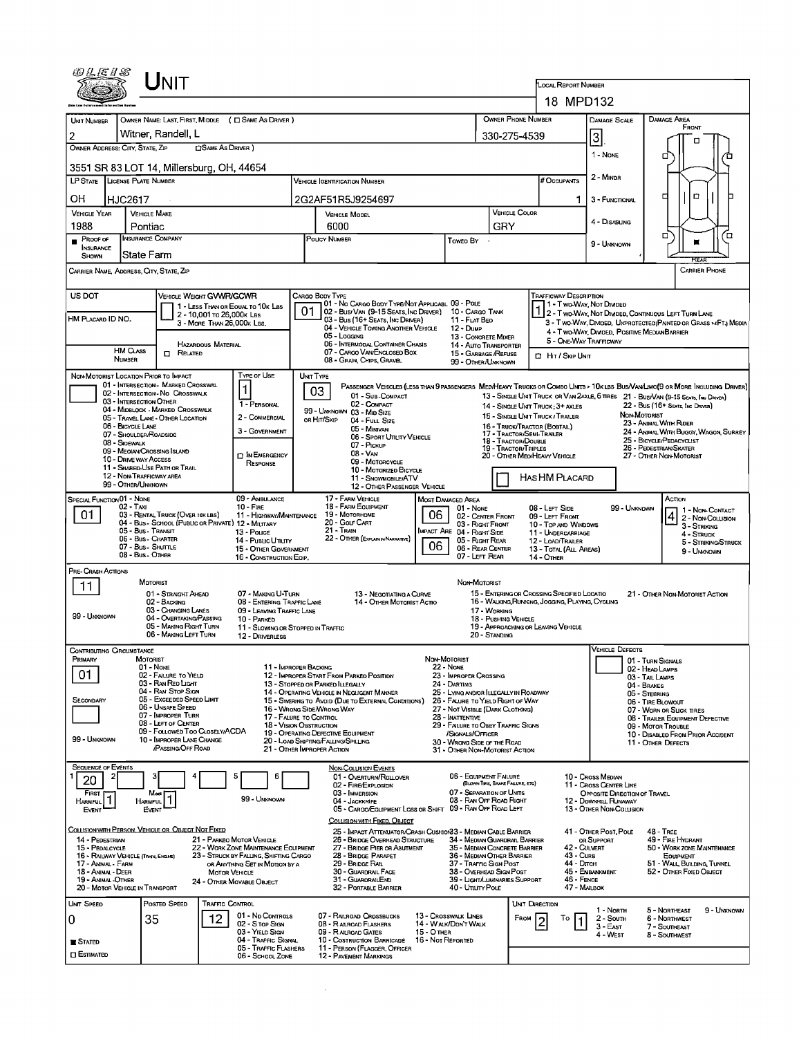|                                          |                                                                         | INIT                                                                                   |                                                          |                                                                                |                                                                                                                                                         |                                                                                                                                 |                                                                                             |                                                                                                                  |                                  |                                                                                                                               | LOCAL REPORT NUMBER                                                                                             |                                                                            |                                                      |                                                                                                                             |  |  |  |
|------------------------------------------|-------------------------------------------------------------------------|----------------------------------------------------------------------------------------|----------------------------------------------------------|--------------------------------------------------------------------------------|---------------------------------------------------------------------------------------------------------------------------------------------------------|---------------------------------------------------------------------------------------------------------------------------------|---------------------------------------------------------------------------------------------|------------------------------------------------------------------------------------------------------------------|----------------------------------|-------------------------------------------------------------------------------------------------------------------------------|-----------------------------------------------------------------------------------------------------------------|----------------------------------------------------------------------------|------------------------------------------------------|-----------------------------------------------------------------------------------------------------------------------------|--|--|--|
|                                          |                                                                         |                                                                                        |                                                          |                                                                                |                                                                                                                                                         |                                                                                                                                 |                                                                                             |                                                                                                                  |                                  |                                                                                                                               | 18 MPD132                                                                                                       |                                                                            |                                                      |                                                                                                                             |  |  |  |
| UNIT NUMBER                              |                                                                         | Witner, Randell, L                                                                     |                                                          | OWNER NAME: LAST, FIRST, MIDDLE ( C SAME AS DRIVER )                           |                                                                                                                                                         |                                                                                                                                 |                                                                                             |                                                                                                                  |                                  | <b>OWNER PHONE NUMBER</b>                                                                                                     |                                                                                                                 | DAMAGE SCALE                                                               |                                                      | <b>DAMAGE AREA</b><br>FRONT                                                                                                 |  |  |  |
| 2<br>OWNER ADDRESS: CITY, STATE, ZIP     |                                                                         |                                                                                        | <b>CISAME AS DRIVER</b> )                                |                                                                                |                                                                                                                                                         |                                                                                                                                 |                                                                                             |                                                                                                                  |                                  | 330-275-4539                                                                                                                  |                                                                                                                 | 3<br>1 - None                                                              |                                                      | п                                                                                                                           |  |  |  |
|                                          | 3551 SR 83 LOT 14, Millersburg, OH, 44654                               |                                                                                        |                                                          |                                                                                |                                                                                                                                                         |                                                                                                                                 |                                                                                             |                                                                                                                  |                                  |                                                                                                                               |                                                                                                                 |                                                                            |                                                      | α<br>п                                                                                                                      |  |  |  |
|                                          | LP STATE   LICENSE PLATE NUMBER<br><b>VEHICLE IDENTIFICATION NUMBER</b> |                                                                                        |                                                          |                                                                                |                                                                                                                                                         |                                                                                                                                 |                                                                                             |                                                                                                                  |                                  |                                                                                                                               |                                                                                                                 | 2 - MINOR                                                                  |                                                      |                                                                                                                             |  |  |  |
| ОН                                       | HJC2617                                                                 |                                                                                        |                                                          |                                                                                |                                                                                                                                                         | 2G2AF51R5J9254697                                                                                                               |                                                                                             |                                                                                                                  |                                  |                                                                                                                               | 1                                                                                                               | 3 - FUNCTIONAL                                                             | $\Box$<br>□                                          |                                                                                                                             |  |  |  |
| <b>VEHICLE YEAR</b>                      |                                                                         | <b>VEHICLE MAKE</b>                                                                    |                                                          |                                                                                |                                                                                                                                                         | <b>VEHICLE COLOR</b><br><b>VEHICLE MODEL</b>                                                                                    |                                                                                             |                                                                                                                  |                                  |                                                                                                                               |                                                                                                                 |                                                                            |                                                      |                                                                                                                             |  |  |  |
| 1988                                     |                                                                         | Pontiac                                                                                |                                                          |                                                                                |                                                                                                                                                         | 6000                                                                                                                            |                                                                                             | GRY                                                                                                              |                                  |                                                                                                                               | 4 - DISABLING                                                                                                   |                                                                            | □<br>Έ                                               |                                                                                                                             |  |  |  |
| Proof of<br><b>INSURANCE</b>             |                                                                         | <b>INSURANCE COMPANY</b>                                                               |                                                          |                                                                                |                                                                                                                                                         | POUCY NUMBER                                                                                                                    | Towed By                                                                                    |                                                                                                                  |                                  |                                                                                                                               | 9 - UMMOWN                                                                                                      |                                                                            |                                                      |                                                                                                                             |  |  |  |
| SHOWN                                    |                                                                         | <b>State Farm</b><br>CARRIER NAME, ADDRESS, CITY, STATE, ZIP                           |                                                          |                                                                                |                                                                                                                                                         |                                                                                                                                 |                                                                                             |                                                                                                                  |                                  |                                                                                                                               |                                                                                                                 |                                                                            |                                                      | <b>CARRIER PHONE</b>                                                                                                        |  |  |  |
|                                          |                                                                         |                                                                                        |                                                          |                                                                                |                                                                                                                                                         |                                                                                                                                 |                                                                                             |                                                                                                                  |                                  |                                                                                                                               |                                                                                                                 |                                                                            |                                                      |                                                                                                                             |  |  |  |
| US DOT                                   |                                                                         |                                                                                        | VEHICLE WEIGHT GVWR/GCWR                                 |                                                                                |                                                                                                                                                         | CARGO BODY TYPE<br>01 - No CARGO BODY TYPE/NOT APPLICABL 09 - POLE                                                              |                                                                                             |                                                                                                                  |                                  |                                                                                                                               | <b>TRAFFICWAY DESCRIPTION</b><br>1 - Two-Way, Not Divided                                                       |                                                                            |                                                      |                                                                                                                             |  |  |  |
| HM PLACARD ID NO.                        |                                                                         |                                                                                        | 2 - 10,001 To 26,000K LBS<br>3 - MORE THAN 26,000 K LBS. | 1 - LESS THAN OR EOUAL TO 10K LBS                                              | 01                                                                                                                                                      | 02 - Bus/Van (9-15 Seats, Inc Driver) 10 - Cargo Tank<br>03 - Bus (16+ SEATS, INC DRIVER)                                       |                                                                                             | 11 - FLAT BED                                                                                                    |                                  |                                                                                                                               |                                                                                                                 |                                                                            |                                                      | 2 - T WO-WAY, NOT DIVIDED, CONTINUOUS LEFT TURN LANE<br>3 - Two-WAY, DIMDED, UNPROTECTED (PAINTED OR GRASS > 4FT.) MEDIA    |  |  |  |
|                                          |                                                                         |                                                                                        |                                                          |                                                                                |                                                                                                                                                         | 04 - VEHICLE TOWING ANOTHER VEHICLE<br>05 - Logging                                                                             |                                                                                             | <b>12 - DUMP</b><br>13 - CONCRETE MIXER                                                                          |                                  |                                                                                                                               | 4 - Two-Way, Divided, Positive MedianBarrier                                                                    |                                                                            |                                                      |                                                                                                                             |  |  |  |
|                                          | <b>HM CLASS</b>                                                         | $\Box$ Related                                                                         | <b>HAZARDOUS MATERIAL</b>                                |                                                                                |                                                                                                                                                         | 06 - INTERMODAL CONTAINER CHASIS<br>07 - CARGO VAN/ENCLOSED BOX                                                                 |                                                                                             | 14 - AUTO TRANSPORTER<br>15 - GARBAGE /REFUSE                                                                    |                                  |                                                                                                                               | 5 - ONE WAY TRAFFICWAY<br>HIT / SKIP UNIT                                                                       |                                                                            |                                                      |                                                                                                                             |  |  |  |
|                                          | NUMBER                                                                  |                                                                                        |                                                          |                                                                                |                                                                                                                                                         | 08 - GRAIN, CHIPS, GRAVEL                                                                                                       |                                                                                             | 99 - OTHER/UNKNOWN                                                                                               |                                  |                                                                                                                               |                                                                                                                 |                                                                            |                                                      |                                                                                                                             |  |  |  |
|                                          |                                                                         | NON-MOTORIST LOCATION PRIOR TO IMPACT<br>01 - INTERSECTION - MARKED CROSSWAL           |                                                          | Type of Use                                                                    |                                                                                                                                                         | UNT TYPE<br>03                                                                                                                  |                                                                                             |                                                                                                                  |                                  |                                                                                                                               |                                                                                                                 |                                                                            |                                                      | PASSENGER VEHICLES (LESS THAN 9 PASSENGERS MED/HEAVY TRUCKS OR COMBO UNTS > 10K LBS BUS/VAWLIMO(9 OR MORE INCLUDING DRIVER) |  |  |  |
|                                          |                                                                         | 02 - INTERSECTION - NO CROSSWALK<br>03 - INTERSECTION OTHER                            |                                                          | 1 - PERSONAL                                                                   |                                                                                                                                                         | 01 - Sub-COMPACT<br>02 - COMPACT                                                                                                |                                                                                             |                                                                                                                  |                                  |                                                                                                                               |                                                                                                                 |                                                                            |                                                      | 13 - SINGLE UNIT TRUCK OR VAN 2AXLE, 6 TIRES 21 - BUS/VAN (9-15 SEATS, INC DAVER)<br>22 - Bus (16+ Seats, Inc Driver)       |  |  |  |
|                                          |                                                                         | 04 - MIDBLOCK - MARKED CROSSWALK<br>05 - TRAVEL LANE - OTHER LOCATION                  |                                                          | 2 - COMMERCIAL                                                                 |                                                                                                                                                         | 99 - UNKNOWN 03 - MID SIZE<br>OR HIT/SKIP<br>04 - Full Size                                                                     |                                                                                             |                                                                                                                  |                                  |                                                                                                                               | 14 - SINGLE UNIT TRUCK : 3+ AXLES<br>NON-MOTORIST<br>15 - SINGLE UNIT TRUCK / TRAILER<br>23 - ANIMAL WITH RIDER |                                                                            |                                                      |                                                                                                                             |  |  |  |
|                                          | 06 - BICYCLE LANE<br>08 - SIOEWALK                                      | 07 - Shoulder/Roadside                                                                 |                                                          | 3 - GOVERNMENT                                                                 |                                                                                                                                                         | 05 - MINIVAN<br>06 - SPORT UTIUTY VEHICLE                                                                                       |                                                                                             |                                                                                                                  | 18 - TRACTOR/DOUBLE              | 16 - TRUCK/TRACTOR (BOBTAL)<br>24 - ANIMAL WITH BUGGY, WAGON, SURREY<br>17 - TRACTOR/SEMI-TRAILER<br>25 - BICYCLE/PEDACYCLIST |                                                                                                                 |                                                                            |                                                      |                                                                                                                             |  |  |  |
|                                          |                                                                         | 09 - MEOIAN CROSSING ISLAND<br><b>10 - DRIVE WAY ACCESS</b>                            |                                                          | D IN EMERGENCY                                                                 | 07 - Ptckup<br>08 - VAN                                                                                                                                 |                                                                                                                                 |                                                                                             |                                                                                                                  |                                  | <b>19 - TRACTOR/TRIPLES</b>                                                                                                   | 20 - OTHER MEDIHEAVY VEHICLE                                                                                    |                                                                            | 26 - PEDESTRIAN/SKATER<br>27 - OTHER NON-MOTORIST    |                                                                                                                             |  |  |  |
|                                          |                                                                         | 11 - SHARED USE PATH OR TRAIL<br>12 - NON-TRAFFICWAY AREA                              |                                                          | RESPONSE                                                                       | 09 - MOTORCYCLE<br>10 - Motorized Bicycle                                                                                                               |                                                                                                                                 |                                                                                             |                                                                                                                  |                                  |                                                                                                                               | HAS HM PLACARD                                                                                                  |                                                                            |                                                      |                                                                                                                             |  |  |  |
|                                          |                                                                         | 99 - OTHER/UNKNOWN                                                                     |                                                          |                                                                                |                                                                                                                                                         | 11 - SNOWMOBILE/ATV<br>12 - OTHER PASSENGER VEHICLE                                                                             |                                                                                             |                                                                                                                  |                                  |                                                                                                                               |                                                                                                                 |                                                                            |                                                      |                                                                                                                             |  |  |  |
| SPECIAL FUNCTION 01 - NONE               | $02 - T_Ax1$                                                            |                                                                                        |                                                          | 09 - AMBULANCE<br>$10 -$ Fire                                                  |                                                                                                                                                         | 17 - FARM VEHICLE<br>18 - FARM EQUIPMENT                                                                                        | 06                                                                                          | <b>MOST DAMAGED AREA</b><br>01 - None                                                                            |                                  |                                                                                                                               | 08 - LEFT SIDE                                                                                                  |                                                                            | 99 - UNKNOWN                                         | Астюм<br>1 - Non-CONTACT                                                                                                    |  |  |  |
| 01                                       |                                                                         | 03 - RENTAL TRUCK (OVER 10KLBS)<br>04 - Bus - SCHOOL (PUBLIC OR PRIVATE) 12 - MILITARY |                                                          | 11 - HIGHWAY/MAINTENANCE                                                       |                                                                                                                                                         | 19 - MOTORHDME<br>20 - Gour CART                                                                                                | 02 - CENTER FRONT                                                                           | 09 - LEFT FRONT<br>10 - TOP AND WINDOWS                                                                          |                                  |                                                                                                                               | $\left  4 \right $ 2 - Non-Collision<br>3 - Striking                                                            |                                                                            |                                                      |                                                                                                                             |  |  |  |
|                                          |                                                                         | 05 - Bus - Transit<br>06 - Bus - Charter                                               |                                                          | 13 - Pouce<br>14 - Pusuc Umury                                                 | 21 - Tran<br>MPACT ARE 04 - RIGHT SIDE<br>22 - OTHER (EXPLAIN IN NARRATIVE)<br>05 - Right Rear<br>06                                                    |                                                                                                                                 |                                                                                             |                                                                                                                  |                                  |                                                                                                                               | 11 - UNDERCARRIAGE<br>12 - LOAD/TRAILER                                                                         |                                                                            |                                                      | 4 - STRUCK<br>5 - STRIKING/STRUCK                                                                                           |  |  |  |
|                                          |                                                                         | 07 - Bus - SHUTTLE<br>08 - Bus - OTHER                                                 |                                                          | 15 - Other Government<br>16 - CONSTRUCTION EOIP.                               |                                                                                                                                                         | 06 - REAR CENTER<br>07 - LEFT REAR<br>14 - OTHER                                                                                |                                                                                             |                                                                                                                  |                                  |                                                                                                                               |                                                                                                                 | 13 - TOTAL (ALL AREAS)                                                     |                                                      | 9 - Unknown                                                                                                                 |  |  |  |
| PRE- CRASH ACTIONS                       |                                                                         |                                                                                        |                                                          |                                                                                |                                                                                                                                                         |                                                                                                                                 |                                                                                             |                                                                                                                  |                                  |                                                                                                                               |                                                                                                                 |                                                                            |                                                      |                                                                                                                             |  |  |  |
| 11                                       |                                                                         | <b>MOTORIST</b><br>01 - STRAIGHT AHEAD                                                 |                                                          | 07 - MAKING U-TURN                                                             |                                                                                                                                                         | 13 - NEGOTIATING A CURVE                                                                                                        |                                                                                             | NON-MOTORIST                                                                                                     |                                  |                                                                                                                               | 15 - ENTERING OR CROSSING SPECIFIED LOCATIO                                                                     |                                                                            |                                                      | 21 - OTHER NON-MOTORIST ACTION                                                                                              |  |  |  |
| 99 - UNKNOWN                             |                                                                         | 02 - BACKING<br>03 - CHANGING LANES                                                    |                                                          | 08 - ENTERING TRAFFIC LANE<br>09 - LEAVING TRAFFIC LANE                        |                                                                                                                                                         | 14 - OTHER MOTORIST ACTIO<br>17 - WORKING                                                                                       |                                                                                             |                                                                                                                  |                                  |                                                                                                                               | 16 - WALKING RUNNING, JOGGING, PLAYING, CYCLING                                                                 |                                                                            |                                                      |                                                                                                                             |  |  |  |
|                                          |                                                                         | 04 - OVERTAKING/PASSING<br>05 - MAKING RIGHT TURN                                      |                                                          | 10 - PARKED<br>11 - SLOWING OR STOPPED IN TRAFFIC                              |                                                                                                                                                         |                                                                                                                                 |                                                                                             |                                                                                                                  | 18 - Pushing Vehicle             |                                                                                                                               | 19 - APPROACHING OR LEAVING VEHICLE                                                                             |                                                                            |                                                      |                                                                                                                             |  |  |  |
|                                          |                                                                         | 06 - MAKING LEFT TURN                                                                  |                                                          | 12 - DRIVERLESS                                                                |                                                                                                                                                         |                                                                                                                                 |                                                                                             |                                                                                                                  | 20 - STANDING                    |                                                                                                                               |                                                                                                                 | <b>VEHICLE DEFECTS</b>                                                     |                                                      |                                                                                                                             |  |  |  |
| Contributing Circumstance<br>PRIMARY     |                                                                         | MOTORIST<br>$01 - \text{Note}$                                                         |                                                          | 11 - IMPROPER BACKING                                                          |                                                                                                                                                         |                                                                                                                                 |                                                                                             | Non-Motorist<br><b>22 - NONE</b>                                                                                 |                                  |                                                                                                                               |                                                                                                                 |                                                                            |                                                      | 01 - TURN SIGNALS                                                                                                           |  |  |  |
| 01                                       |                                                                         | 02 - FAILURE TO YIELD<br>03 - RAN RED LIGHT                                            |                                                          |                                                                                |                                                                                                                                                         | 12 - IMPROPER START FROM PARKED POSITION<br>13 - Stopped or Parked ILLEGALLY                                                    |                                                                                             | 23 - IMPROPER CROSSING                                                                                           |                                  |                                                                                                                               |                                                                                                                 |                                                                            | 02 - HEAD LAMPS<br>03 - TAIL LAMPS                   |                                                                                                                             |  |  |  |
| SECONDARY                                |                                                                         | 04 - RAN STOP SIGN<br>05 - Exceeded Speed LIMIT                                        |                                                          |                                                                                |                                                                                                                                                         | 14 - OPERATING VEHICLE IN NEGLIGENT MANNER<br>15 - Swering to Avdid (Due to External Conditions)                                | 24 - DARTING<br>25 - LYING AND OR ILLEGALLY IN ROADWAY<br>26 - FALURE TO YIELD RIGHT OF WAY |                                                                                                                  |                                  |                                                                                                                               |                                                                                                                 | 04 - BRAKES<br>05 - STEERING<br>06 - TIRE BLOWOUT                          |                                                      |                                                                                                                             |  |  |  |
|                                          |                                                                         | 06 - UNSAFE SPEED<br>07 - IMPROPER TURN                                                |                                                          | 17 - FALURE TO CONTROL                                                         |                                                                                                                                                         | 16 - WRONG SIDE WRONG WAY                                                                                                       |                                                                                             | 27 - NOT VISIBLE (DARK CLOTHING)<br>28 - INATTENTIVE                                                             |                                  |                                                                                                                               |                                                                                                                 |                                                                            |                                                      | 07 - WORN OR SLICK TIRES<br>08 - TRAILER EQUIPMENT DEFECTIVE                                                                |  |  |  |
|                                          |                                                                         | 08 - LEFT OF CENTER<br>09 - FOLLOWED TOO CLOSELY/ACDA                                  |                                                          | 18 - Vision Obstruction                                                        |                                                                                                                                                         | 19 - OPERATING DEFECTIVE EQUIPMENT                                                                                              |                                                                                             | 29 - FALURE TO OBEY TRAFFIC SIGNS<br>09 - MOTOR TROUBLE<br>/SIGNALS/OFFICER<br>10 - DISABLED FROM PRIOR ACCIDENT |                                  |                                                                                                                               |                                                                                                                 |                                                                            |                                                      |                                                                                                                             |  |  |  |
| 99 - UNKNOWN                             |                                                                         | 10 - IMPROPER LANE CHANGE<br>PASSING OFF ROAD                                          |                                                          |                                                                                |                                                                                                                                                         | 20 - LOAD SHIFTING/FALLING/SPILLING<br>21 - OTHER IMPROPER ACTION                                                               |                                                                                             | 30 - Wrong Side of the Road<br>31 - OTHER NON-MOTORIST ACTION                                                    |                                  |                                                                                                                               |                                                                                                                 |                                                                            |                                                      | 11 - OTHER DEFECTS                                                                                                          |  |  |  |
| <b>SEQUENCE OF EVENTS</b>                |                                                                         |                                                                                        |                                                          |                                                                                |                                                                                                                                                         | <b>NON-COLLISION EVENTS</b>                                                                                                     |                                                                                             |                                                                                                                  |                                  |                                                                                                                               |                                                                                                                 |                                                                            |                                                      |                                                                                                                             |  |  |  |
| 20                                       | 2                                                                       |                                                                                        |                                                          | 6                                                                              |                                                                                                                                                         | 01 - OVERTURN/ROLLOVER<br>02 - FIRE/EXPLOSION                                                                                   |                                                                                             | 06 - EQUIPMENT FAILURE                                                                                           | (BLOWN TIRE, BRAKE FAILURE, ETC) |                                                                                                                               |                                                                                                                 | 10 - Cross Median<br>11 - Cross Center Line                                |                                                      |                                                                                                                             |  |  |  |
| FIRST<br>HARMFUL <sup>1</sup>            |                                                                         | Most<br>HARMFUL <sup>1</sup>                                                           |                                                          | 99 - UNKNOWN                                                                   |                                                                                                                                                         | 03 - IMMERSION<br>04 - JACKKMFE                                                                                                 |                                                                                             | 07 - SEPARATION OF UNITS<br>08 - RAN OFF ROAD RIGHT                                                              |                                  |                                                                                                                               |                                                                                                                 | OPPOSITE DIRECTION OF TRAVEL<br>12 - DOWNHILL RUNAWAY                      |                                                      |                                                                                                                             |  |  |  |
| Event                                    |                                                                         | EVENT                                                                                  |                                                          |                                                                                |                                                                                                                                                         | 05 - CARGO/EQUIPMENT LOSS OR SHIFT 09 - RAN OFF ROAD LEFT<br>COLLISION WITH FIXED, OBJECT                                       |                                                                                             |                                                                                                                  |                                  |                                                                                                                               |                                                                                                                 | 13 - OTHER NON-COLUSION                                                    |                                                      |                                                                                                                             |  |  |  |
| 14 - PEDESTRIAN                          |                                                                         | Collision with Person, Vehicle or Object Not Fixed                                     |                                                          | 21 - PARKEO MOTOR VEHICLE                                                      |                                                                                                                                                         | 25 - IMPACT ATTENUATOR/CRASH CUSHION33 - MEDIAN CABLE BARRIER                                                                   |                                                                                             |                                                                                                                  |                                  |                                                                                                                               |                                                                                                                 | 41 - OTHER POST, POLE                                                      |                                                      | 48 - Tree                                                                                                                   |  |  |  |
| 15 - PEDALCYCLE                          |                                                                         | 16 - RAILWAY VEHICLE (TRAIN, ENGINE)                                                   |                                                          | 22 - WORK ZONE MAINTENANCE EQUIPMENT<br>23 - STRUCK BY FALLING, SHIFTING CARGO |                                                                                                                                                         | 26 - BRIDGE OVERHEAD STRUCTURE<br>34 - MEDIAN GUARDRAIL BARRIER<br>27 - BRIDGE PIER OR ABUTMENT<br>35 - MEDIAN CONCRETE BARRIER |                                                                                             |                                                                                                                  |                                  |                                                                                                                               | 42 - CULVERT<br>43 - Curs                                                                                       | OR SUPPORT<br>49 - FIRE HYDRANT<br>50 - WORK ZONE MAINTENANCE<br>EQUIPMENT |                                                      |                                                                                                                             |  |  |  |
| 17 - ANIMAL - FARM<br>18 - Animal - Deer |                                                                         |                                                                                        | <b>MOTOR VEHICLE</b>                                     | OR ANYTHING SET IN MOTION BY A                                                 | 28 - BRIDGE PARAPET<br>36 - MEDIAN OTHER BARRIER<br>37 - TRAFFIC SIGN POST<br>29 - Bridge Rail<br><b>30 - GUARDRAIL FACE</b><br>38 - Overhead Sign Post |                                                                                                                                 |                                                                                             |                                                                                                                  |                                  |                                                                                                                               | 44 - Олсн                                                                                                       | 45 - EMBANKMENT                                                            | 51 - WALL BUILDING TUNNEL<br>52 - OTHER FIXED OBJECT |                                                                                                                             |  |  |  |
| 19 - Animal -Other                       |                                                                         | 20 - MOTOR VEHICLE IN TRANSPORT                                                        |                                                          | 24 - OTHER MOVABLE OBJECT                                                      |                                                                                                                                                         | 31 - GUARDRAILEND<br>32 - PORTABLE BARRIER                                                                                      |                                                                                             | 39 - LIGHT/LUMINARIES SUPPORT<br>40 - Umury Pous                                                                 |                                  |                                                                                                                               | 46 - FENCE<br>47 - MAILBOX                                                                                      |                                                                            |                                                      |                                                                                                                             |  |  |  |
| UNIT SPEED                               |                                                                         | POSTED SPEED                                                                           | TRAFFIC CONTROL                                          |                                                                                |                                                                                                                                                         |                                                                                                                                 |                                                                                             |                                                                                                                  |                                  | Unit Drection                                                                                                                 |                                                                                                                 |                                                                            |                                                      |                                                                                                                             |  |  |  |
| 0                                        |                                                                         | 35                                                                                     | 12                                                       | 01 - No CONTROLS<br>02 - S TOP SIGN                                            |                                                                                                                                                         | 07 - RALROAD CROSSBUCKS<br>08 - RAILROAD FLASHERS                                                                               |                                                                                             | 13 - Crosswalk Lines<br>14 - WALK/DON'T WALK                                                                     |                                  | FROM                                                                                                                          | То                                                                                                              | 1 - North<br>2 - South<br>$3 - EAST$                                       |                                                      | 5 - Northeast<br>9 - UNKNOWN<br>6 - NORTHWEST<br>7 - SOUTHEAST                                                              |  |  |  |
| <b>E</b> Stated                          |                                                                         |                                                                                        |                                                          | 03 - YIELD SIGN<br>04 - TRAFFIC SIGNAL                                         |                                                                                                                                                         | 09 - RALROAD GATES<br>10 - Costruction Barricade                                                                                | 15 - O THER<br>16 - Not Reported                                                            |                                                                                                                  |                                  |                                                                                                                               |                                                                                                                 | 4 WEST                                                                     |                                                      | 8 - SOUTHWEST                                                                                                               |  |  |  |
| <b>CI ESTIMATED</b>                      |                                                                         |                                                                                        |                                                          | 05 - TRAFFIC FLASHERS<br>06 - School Zone                                      |                                                                                                                                                         | 11 - PERSON (FLAGGER, OFFICER<br><b>12 - PAVEMENT MARKINGS</b>                                                                  |                                                                                             |                                                                                                                  |                                  |                                                                                                                               |                                                                                                                 |                                                                            |                                                      |                                                                                                                             |  |  |  |

 $\label{eq:2.1} \frac{1}{\sqrt{2}}\left(\frac{1}{\sqrt{2}}\right)^{2} \left(\frac{1}{\sqrt{2}}\right)^{2} \left(\frac{1}{\sqrt{2}}\right)^{2} \left(\frac{1}{\sqrt{2}}\right)^{2} \left(\frac{1}{\sqrt{2}}\right)^{2} \left(\frac{1}{\sqrt{2}}\right)^{2} \left(\frac{1}{\sqrt{2}}\right)^{2} \left(\frac{1}{\sqrt{2}}\right)^{2} \left(\frac{1}{\sqrt{2}}\right)^{2} \left(\frac{1}{\sqrt{2}}\right)^{2} \left(\frac{1}{\sqrt{2}}\right)^{2} \left(\$